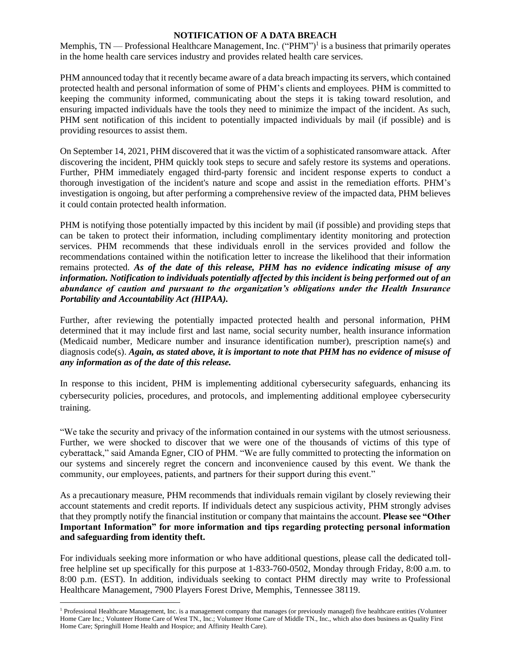## **NOTIFICATION OF A DATA BREACH**

Memphis, TN — Professional Healthcare Management, Inc. ("PHM")<sup>1</sup> is a business that primarily operates in the home health care services industry and provides related health care services.

PHM announced today that it recently became aware of a data breach impacting its servers, which contained protected health and personal information of some of PHM's clients and employees. PHM is committed to keeping the community informed, communicating about the steps it is taking toward resolution, and ensuring impacted individuals have the tools they need to minimize the impact of the incident. As such, PHM sent notification of this incident to potentially impacted individuals by mail (if possible) and is providing resources to assist them.

On September 14, 2021, PHM discovered that it was the victim of a sophisticated ransomware attack. After discovering the incident, PHM quickly took steps to secure and safely restore its systems and operations. Further, PHM immediately engaged third-party forensic and incident response experts to conduct a thorough investigation of the incident's nature and scope and assist in the remediation efforts. PHM's investigation is ongoing, but after performing a comprehensive review of the impacted data, PHM believes it could contain protected health information.

PHM is notifying those potentially impacted by this incident by mail (if possible) and providing steps that can be taken to protect their information, including complimentary identity monitoring and protection services. PHM recommends that these individuals enroll in the services provided and follow the recommendations contained within the notification letter to increase the likelihood that their information remains protected. *As of the date of this release, PHM has no evidence indicating misuse of any information. Notification to individuals potentially affected by this incident is being performed out of an abundance of caution and pursuant to the organization's obligations under the Health Insurance Portability and Accountability Act (HIPAA).*

Further, after reviewing the potentially impacted protected health and personal information, PHM determined that it may include first and last name, social security number, health insurance information (Medicaid number, Medicare number and insurance identification number), prescription name(s) and diagnosis code(s). *Again, as stated above, it is important to note that PHM has no evidence of misuse of any information as of the date of this release.*

In response to this incident, PHM is implementing additional cybersecurity safeguards, enhancing its cybersecurity policies, procedures, and protocols, and implementing additional employee cybersecurity training.

"We take the security and privacy of the information contained in our systems with the utmost seriousness. Further, we were shocked to discover that we were one of the thousands of victims of this type of cyberattack," said Amanda Egner, CIO of PHM. "We are fully committed to protecting the information on our systems and sincerely regret the concern and inconvenience caused by this event. We thank the community, our employees, patients, and partners for their support during this event."

As a precautionary measure, PHM recommends that individuals remain vigilant by closely reviewing their account statements and credit reports. If individuals detect any suspicious activity, PHM strongly advises that they promptly notify the financial institution or company that maintains the account. **Please see "Other Important Information" for more information and tips regarding protecting personal information and safeguarding from identity theft.**

For individuals seeking more information or who have additional questions, please call the dedicated tollfree helpline set up specifically for this purpose at 1-833-760-0502, Monday through Friday, 8:00 a.m. to 8:00 p.m. (EST). In addition, individuals seeking to contact PHM directly may write to Professional Healthcare Management, 7900 Players Forest Drive, Memphis, Tennessee 38119.

<sup>&</sup>lt;sup>1</sup> Professional Healthcare Management, Inc. is a management company that manages (or previously managed) five healthcare entities (Volunteer Home Care Inc.; Volunteer Home Care of West TN., Inc.; Volunteer Home Care of Middle TN., Inc., which also does business as Quality First Home Care; Springhill Home Health and Hospice; and Affinity Health Care).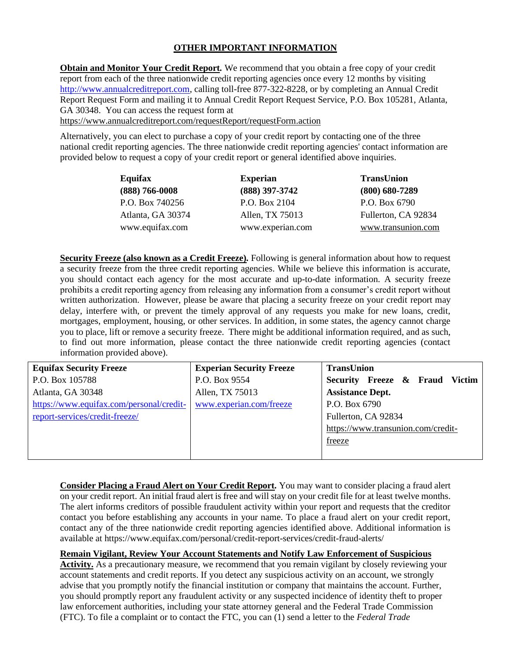## **OTHER IMPORTANT INFORMATION**

**Obtain and Monitor Your Credit Report***.* We recommend that you obtain a free copy of your credit report from each of the three nationwide credit reporting agencies once every 12 months by visiting http://www.annualcreditreport.com, calling toll-free 877-322-8228, or by completing an Annual Credit Report Request Form and mailing it to Annual Credit Report Request Service, P.O. Box 105281, Atlanta, GA 30348. You can access the request form at

https://www.annualcreditreport.com/requestReport/requestForm.action

Alternatively, you can elect to purchase a copy of your credit report by contacting one of the three national credit reporting agencies. The three nationwide credit reporting agencies' contact information are provided below to request a copy of your credit report or general identified above inquiries.

| Equifax            | <b>Experian</b>  | <b>TransUnion</b>   |
|--------------------|------------------|---------------------|
| $(888) 766 - 0008$ | $(888)$ 397-3742 | $(800) 680 - 7289$  |
| P.O. Box 740256    | P.O. Box 2104    | P.O. Box 6790       |
| Atlanta, GA 30374  | Allen, TX 75013  | Fullerton, CA 92834 |
| www.equifax.com    | www.experian.com | www.transunion.com  |

**Security Freeze (also known as a Credit Freeze)***.* Following is general information about how to request a security freeze from the three credit reporting agencies. While we believe this information is accurate, you should contact each agency for the most accurate and up-to-date information. A security freeze prohibits a credit reporting agency from releasing any information from a consumer's credit report without written authorization. However, please be aware that placing a security freeze on your credit report may delay, interfere with, or prevent the timely approval of any requests you make for new loans, credit, mortgages, employment, housing, or other services. In addition, in some states, the agency cannot charge you to place, lift or remove a security freeze. There might be additional information required, and as such, to find out more information, please contact the three nationwide credit reporting agencies (contact information provided above).

| <b>Equifax Security Freeze</b>           | <b>Experian Security Freeze</b> | <b>TransUnion</b>                  |  |
|------------------------------------------|---------------------------------|------------------------------------|--|
| P.O. Box 105788                          | P.O. Box 9554                   | Security Freeze & Fraud Victim     |  |
| Atlanta, GA 30348                        | Allen, TX 75013                 | <b>Assistance Dept.</b>            |  |
| https://www.equifax.com/personal/credit- | www.experian.com/freeze         | P.O. Box 6790                      |  |
| report-services/credit-freeze/           |                                 | Fullerton, CA 92834                |  |
|                                          |                                 | https://www.transunion.com/credit- |  |
|                                          |                                 | freeze                             |  |
|                                          |                                 |                                    |  |

**Consider Placing a Fraud Alert on Your Credit Report***.* You may want to consider placing a fraud alert on your credit report. An initial fraud alert is free and will stay on your credit file for at least twelve months. The alert informs creditors of possible fraudulent activity within your report and requests that the creditor contact you before establishing any accounts in your name. To place a fraud alert on your credit report, contact any of the three nationwide credit reporting agencies identified above. Additional information is available at https://www.equifax.com/personal/credit-report-services/credit-fraud-alerts/

## **Remain Vigilant, Review Your Account Statements and Notify Law Enforcement of Suspicious**

**Activity.** As a precautionary measure, we recommend that you remain vigilant by closely reviewing your account statements and credit reports. If you detect any suspicious activity on an account, we strongly advise that you promptly notify the financial institution or company that maintains the account. Further, you should promptly report any fraudulent activity or any suspected incidence of identity theft to proper law enforcement authorities, including your state attorney general and the Federal Trade Commission (FTC). To file a complaint or to contact the FTC, you can (1) send a letter to the *Federal Trade*